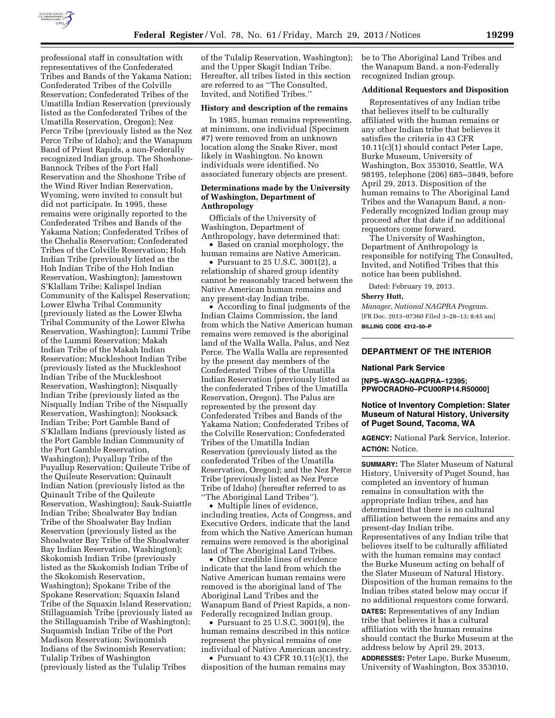

professional staff in consultation with representatives of the Confederated Tribes and Bands of the Yakama Nation; Confederated Tribes of the Colville Reservation; Confederated Tribes of the Umatilla Indian Reservation (previously listed as the Confederated Tribes of the Umatilla Reservation, Oregon); Nez Perce Tribe (previously listed as the Nez Perce Tribe of Idaho); and the Wanapum Band of Priest Rapids, a non-Federally recognized Indian group. The Shoshone-Bannock Tribes of the Fort Hall Reservation and the Shoshone Tribe of the Wind River Indian Reservation, Wyoming, were invited to consult but did not participate. In 1995, these remains were originally reported to the Confederated Tribes and Bands of the Yakama Nation; Confederated Tribes of the Chehalis Reservation; Confederated Tribes of the Colville Reservation; Hoh Indian Tribe (previously listed as the Hoh Indian Tribe of the Hoh Indian Reservation, Washington); Jamestown S'Klallam Tribe; Kalispel Indian Community of the Kalispel Reservation; Lower Elwha Tribal Community (previously listed as the Lower Elwha Tribal Community of the Lower Elwha Reservation, Washington); Lummi Tribe of the Lummi Reservation; Makah Indian Tribe of the Makah Indian Reservation; Muckleshoot Indian Tribe (previously listed as the Muckleshoot Indian Tribe of the Muckleshoot Reservation, Washington); Nisqually Indian Tribe (previously listed as the Nisqually Indian Tribe of the Nisqually Reservation, Washington); Nooksack Indian Tribe; Port Gamble Band of S'Klallam Indians (previously listed as the Port Gamble Indian Community of the Port Gamble Reservation, Washington); Puyallup Tribe of the Puyallup Reservation; Quileute Tribe of the Quileute Reservation; Quinault Indian Nation (previously listed as the Quinault Tribe of the Quileute Reservation, Washington); Sauk-Suiattle Indian Tribe; Shoalwater Bay Indian Tribe of the Shoalwater Bay Indian Reservation (previously listed as the Shoalwater Bay Tribe of the Shoalwater Bay Indian Reservation, Washington); Skokomish Indian Tribe (previously listed as the Skokomish Indian Tribe of the Skokomish Reservation, Washington); Spokane Tribe of the Spokane Reservation; Squaxin Island Tribe of the Squaxin Island Reservation; Stillaguamish Tribe (previously listed as the Stillaguamish Tribe of Washington); Suquamish Indian Tribe of the Port Madison Reservation; Swinomish Indians of the Swinomish Reservation; Tulalip Tribes of Washington (previously listed as the Tulalip Tribes

of the Tulalip Reservation, Washington); and the Upper Skagit Indian Tribe. Hereafter, all tribes listed in this section are referred to as ''The Consulted, Invited, and Notified Tribes.''

### **History and description of the remains**

In 1985, human remains representing, at minimum, one individual (Specimen #7) were removed from an unknown location along the Snake River, most likely in Washington. No known individuals were identified. No associated funerary objects are present.

# **Determinations made by the University of Washington, Department of Anthropology**

Officials of the University of Washington, Department of Anthropology, have determined that:

• Based on cranial morphology, the human remains are Native American.

• Pursuant to 25 U.S.C. 3001(2), a relationship of shared group identity cannot be reasonably traced between the Native American human remains and any present-day Indian tribe.

• According to final judgments of the Indian Claims Commission, the land from which the Native American human remains were removed is the aboriginal land of the Walla Walla, Palus, and Nez Perce. The Walla Walla are represented by the present day members of the Confederated Tribes of the Umatilla Indian Reservation (previously listed as the confederated Tribes of the Umatilla Reservation, Oregon). The Palus are represented by the present day Confederated Tribes and Bands of the Yakama Nation; Confederated Tribes of the Colville Reservation; Confederated Tribes of the Umatilla Indian Reservation (previously listed as the confederated Tribes of the Umatilla Reservation, Oregon); and the Nez Perce Tribe (previously listed as Nez Perce Tribe of Idaho) (hereafter referred to as ''The Aboriginal Land Tribes'').

• Multiple lines of evidence, including treaties, Acts of Congress, and Executive Orders, indicate that the land from which the Native American human remains were removed is the aboriginal land of The Aboriginal Land Tribes.

• Other credible lines of evidence indicate that the land from which the Native American human remains were removed is the aboriginal land of The Aboriginal Land Tribes and the Wanapum Band of Priest Rapids, a non-Federally recognized Indian group.

• Pursuant to 25 U.S.C. 3001(9), the human remains described in this notice represent the physical remains of one individual of Native American ancestry.

• Pursuant to 43 CFR 10.11(c)(1), the disposition of the human remains may

be to The Aboriginal Land Tribes and the Wanapum Band, a non-Federally recognized Indian group.

#### **Additional Requestors and Disposition**

Representatives of any Indian tribe that believes itself to be culturally affiliated with the human remains or any other Indian tribe that believes it satisfies the criteria in 43 CFR 10.11(c)(1) should contact Peter Lape, Burke Museum, University of Washington, Box 353010, Seattle, WA 98195, telephone (206) 685–3849, before April 29, 2013. Disposition of the human remains to The Aboriginal Land Tribes and the Wanapum Band, a non-Federally recognized Indian group may proceed after that date if no additional requestors come forward.

The University of Washington, Department of Anthropology is responsible for notifying The Consulted, Invited, and Notified Tribes that this notice has been published.

Dated: February 19, 2013.

#### **Sherry Hutt,**

*Manager, National NAGPRA Program.*  [FR Doc. 2013–07360 Filed 3–28–13; 8:45 am] **BILLING CODE 4312–50–P** 

### **DEPARTMENT OF THE INTERIOR**

#### **National Park Service**

**[NPS–WASO–NAGPRA–12395; PPWOCRADN0–PCU00RP14.R50000]** 

# **Notice of Inventory Completion: Slater Museum of Natural History, University of Puget Sound, Tacoma, WA**

**AGENCY:** National Park Service, Interior. **ACTION:** Notice.

**SUMMARY:** The Slater Museum of Natural History, University of Puget Sound, has completed an inventory of human remains in consultation with the appropriate Indian tribes, and has determined that there is no cultural affiliation between the remains and any present-day Indian tribe. Representatives of any Indian tribe that believes itself to be culturally affiliated with the human remains may contact the Burke Museum acting on behalf of the Slater Museum of Natural History. Disposition of the human remains to the Indian tribes stated below may occur if no additional requestors come forward.

**DATES:** Representatives of any Indian tribe that believes it has a cultural affiliation with the human remains should contact the Burke Museum at the address below by April 29, 2013.

**ADDRESSES:** Peter Lape, Burke Museum, University of Washington, Box 353010,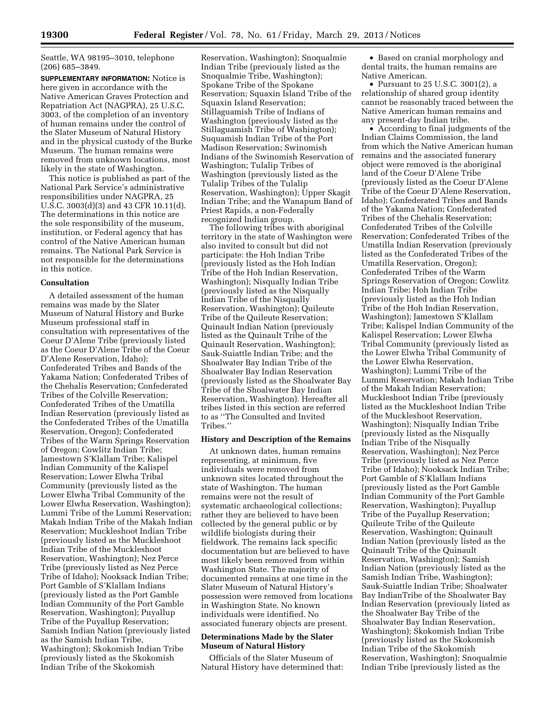Seattle, WA 98195–3010, telephone (206) 685–3849.

**SUPPLEMENTARY INFORMATION:** Notice is here given in accordance with the Native American Graves Protection and Repatriation Act (NAGPRA), 25 U.S.C. 3003, of the completion of an inventory of human remains under the control of the Slater Museum of Natural History and in the physical custody of the Burke Museum. The human remains were removed from unknown locations, most likely in the state of Washington.

This notice is published as part of the National Park Service's administrative responsibilities under NAGPRA, 25 U.S.C. 3003(d)(3) and 43 CFR 10.11(d). The determinations in this notice are the sole responsibility of the museum, institution, or Federal agency that has control of the Native American human remains. The National Park Service is not responsible for the determinations in this notice.

## **Consultation**

A detailed assessment of the human remains was made by the Slater Museum of Natural History and Burke Museum professional staff in consultation with representatives of the Coeur D'Alene Tribe (previously listed as the Coeur D'Alene Tribe of the Coeur D'Alene Reservation, Idaho); Confederated Tribes and Bands of the Yakama Nation; Confederated Tribes of the Chehalis Reservation; Confederated Tribes of the Colville Reservation; Confederated Tribes of the Umatilla Indian Reservation (previously listed as the Confederated Tribes of the Umatilla Reservation, Oregon); Confederated Tribes of the Warm Springs Reservation of Oregon; Cowlitz Indian Tribe; Jamestown S'Klallam Tribe; Kalispel Indian Community of the Kalispel Reservation; Lower Elwha Tribal Community (previously listed as the Lower Elwha Tribal Community of the Lower Elwha Reservation, Washington); Lummi Tribe of the Lummi Reservation; Makah Indian Tribe of the Makah Indian Reservation; Muckleshoot Indian Tribe (previously listed as the Muckleshoot Indian Tribe of the Muckleshoot Reservation, Washington); Nez Perce Tribe (previously listed as Nez Perce Tribe of Idaho); Nooksack Indian Tribe; Port Gamble of S'Klallam Indians (previously listed as the Port Gamble Indian Community of the Port Gamble Reservation, Washington); Puyallup Tribe of the Puyallup Reservation; Samish Indian Nation (previously listed as the Samish Indian Tribe, Washington); Skokomish Indian Tribe (previously listed as the Skokomish Indian Tribe of the Skokomish

Reservation, Washington); Snoqualmie Indian Tribe (previously listed as the Snoqualmie Tribe, Washington); Spokane Tribe of the Spokane Reservation; Squaxin Island Tribe of the Squaxin Island Reservation; Stillaguamish Tribe of Indians of Washington (previously listed as the Stillaguamish Tribe of Washington); Suquamish Indian Tribe of the Port Madison Reservation; Swinomish Indians of the Swinomish Reservation of Washington; Tulalip Tribes of Washington (previously listed as the Tulalip Tribes of the Tulalip Reservation, Washington); Upper Skagit Indian Tribe; and the Wanapum Band of Priest Rapids, a non-Federally recognized Indian group.

The following tribes with aboriginal territory in the state of Washington were also invited to consult but did not participate: the Hoh Indian Tribe (previously listed as the Hoh Indian Tribe of the Hoh Indian Reservation, Washington); Nisqually Indian Tribe (previously listed as the Nisqually Indian Tribe of the Nisqually Reservation, Washington); Quileute Tribe of the Quileute Reservation; Quinault Indian Nation (previously listed as the Quinault Tribe of the Quinault Reservation, Washington); Sauk-Suiattle Indian Tribe; and the Shoalwater Bay Indian Tribe of the Shoalwater Bay Indian Reservation (previously listed as the Shoalwater Bay Tribe of the Shoalwater Bay Indian Reservation, Washington). Hereafter all tribes listed in this section are referred to as ''The Consulted and Invited Tribes.''

# **History and Description of the Remains**

At unknown dates, human remains representing, at minimum, five individuals were removed from unknown sites located throughout the state of Washington. The human remains were not the result of systematic archaeological collections; rather they are believed to have been collected by the general public or by wildlife biologists during their fieldwork. The remains lack specific documentation but are believed to have most likely been removed from within Washington State. The majority of documented remains at one time in the Slater Museum of Natural History's possession were removed from locations in Washington State. No known individuals were identified. No associated funerary objects are present.

# **Determinations Made by the Slater Museum of Natural History**

Officials of the Slater Museum of Natural History have determined that:

• Based on cranial morphology and dental traits, the human remains are Native American.

• Pursuant to 25 U.S.C. 3001(2), a relationship of shared group identity cannot be reasonably traced between the Native American human remains and any present-day Indian tribe.

• According to final judgments of the Indian Claims Commission, the land from which the Native American human remains and the associated funerary object were removed is the aboriginal land of the Coeur D'Alene Tribe (previously listed as the Coeur D'Alene Tribe of the Coeur D'Alene Reservation, Idaho); Confederated Tribes and Bands of the Yakama Nation; Confederated Tribes of the Chehalis Reservation; Confederated Tribes of the Colville Reservation; Confederated Tribes of the Umatilla Indian Reservation (previously listed as the Confederated Tribes of the Umatilla Reservation, Oregon); Confederated Tribes of the Warm Springs Reservation of Oregon; Cowlitz Indian Tribe; Hoh Indian Tribe (previously listed as the Hoh Indian Tribe of the Hoh Indian Reservation, Washington); Jamestown S'Klallam Tribe; Kalispel Indian Community of the Kalispel Reservation; Lower Elwha Tribal Community (previously listed as the Lower Elwha Tribal Community of the Lower Elwha Reservation, Washington); Lummi Tribe of the Lummi Reservation; Makah Indian Tribe of the Makah Indian Reservation; Muckleshoot Indian Tribe (previously listed as the Muckleshoot Indian Tribe of the Muckleshoot Reservation, Washington); Nisqually Indian Tribe (previously listed as the Nisqually Indian Tribe of the Nisqually Reservation, Washington); Nez Perce Tribe (previously listed as Nez Perce Tribe of Idaho); Nooksack Indian Tribe; Port Gamble of S'Klallam Indians (previously listed as the Port Gamble Indian Community of the Port Gamble Reservation, Washington); Puyallup Tribe of the Puyallup Reservation; Quileute Tribe of the Quileute Reservation, Washington; Quinault Indian Nation (previously listed as the Quinault Tribe of the Quinault Reservation, Washington); Samish Indian Nation (previously listed as the Samish Indian Tribe, Washington); Sauk-Suiattle Indian Tribe; Shoalwater Bay IndianTribe of the Shoalwater Bay Indian Reservation (previously listed as the Shoalwater Bay Tribe of the Shoalwater Bay Indian Reservation, Washington); Skokomish Indian Tribe (previously listed as the Skokomish Indian Tribe of the Skokomish Reservation, Washington); Snoqualmie Indian Tribe (previously listed as the